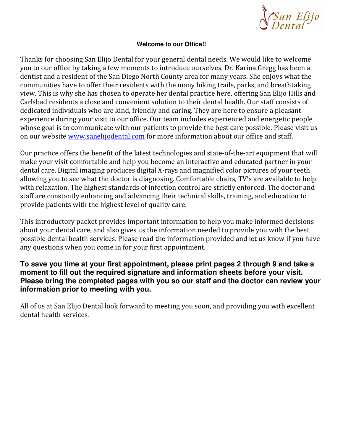

# **Welcome to our Office!!**

Thanks for choosing San Elijo Dental for your general dental needs. We would like to welcome you to our office by taking a few moments to introduce ourselves. Dr. Karina Gregg has been a dentist and a resident of the San Diego North County area for many years. She enjoys what the communities have to offer their residents with the many hiking trails, parks, and breathtaking view. This is why she has chosen to operate her dental practice here, offering San Elijo Hills and Carlsbad residents a close and convenient solution to their dental health. Our staff consists of dedicated individuals who are kind, friendly and caring. They are here to ensure a pleasant experience during your visit to our office. Our team includes experienced and energetic people whose goal is to communicate with our patients to provide the best care possible. Please visit us on our website www.sanelijodental.com for more information about our office and staff.

Our practice offers the benefit of the latest technologies and state-of-the-art equipment that will make your visit comfortable and help you become an interactive and educated partner in your dental care. Digital imaging produces digital X-rays and magnified color pictures of your teeth allowing you to see what the doctor is diagnosing. Comfortable chairs, TV's are available to help with relaxation. The highest standards of infection control are strictly enforced. The doctor and staff are constantly enhancing and advancing their technical skills, training, and education to provide patients with the highest level of quality care.

This introductory packet provides important information to help you make informed decisions about your dental care, and also gives us the information needed to provide you with the best possible dental health services. Please read the information provided and let us know if you have any questions when you come in for your first appointment.

# **To save you time at your first appointment, please print pages 2 through 9 and take a moment to fill out the required signature and information sheets before your visit. Please bring the completed pages with you so our staff and the doctor can review your information prior to meeting with you.**

All of us at San Elijo Dental look forward to meeting you soon, and providing you with excellent dental health services.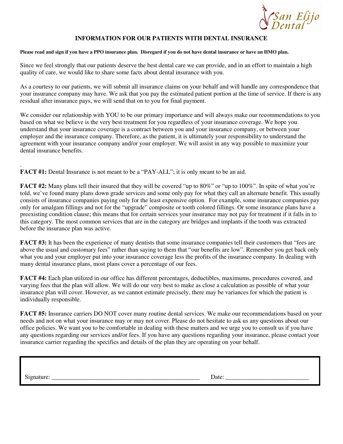

## **INFORMATION FOR OUR PATIENTS WITH DENTAL INSURANCE**

## **Please read and sign if you have a PPO insurance plan. Disregard if you do not have dental insurance or have an HMO plan.**

Since we feel strongly that our patients deserve the best dental care we can provide, and in an effort to maintain a high quality of care, we would like to share some facts about dental insurance with you.

As a courtesy to our patients, we will submit all insurance claims on your behalf and will handle any correspondence that your insurance company may have. We ask that you pay the estimated patient portion at the time of service. If there is any residual after insurance pays, we will send that on to you for final payment.

We consider our relationship with YOU to be our primary importance and will always make our recommendations to you based on what we believe is the very best treatment for you regardless of your insurance coverage. We hope you understand that your insurance coverage is a contract between you and your insurance company, or between your employer and the insurance company. Therefore, as the patient, it is ultimately your responsibility to understand the agreement with your insurance company and/or your employer. We will assist in any way possible to maximize your dental insurance benefits.

. **FACT #1:** Dental Insurance is not meant to be a "PAY-ALL"; it is only meant to be an aid.

**FACT #2:** Many plans tell their insured that they will be covered "up to 80%" or "up to 100%". In spite of what you're told, we've found many plans down grade services and some only pay for what they call an alternate benefit. This usually consists of insurance companies paying only for the least expensive option. For example, some insurance companies pay only for amalgam fillings and not for the "upgrade" composite or tooth colored fillings. Or some insurance plans have a preexisting condition clause; this means that for certain services your insurance may not pay for treatment if it falls in to this category. The most common services that are in the category are bridges and implants if the tooth was extracted before the insurance plan was active.

**FACT #3:** It has been the experience of many dentists that some insurance companies tell their customers that "fees are above the usual and customary fees" rather than saying to them that "our benefits are low". Remember you get back only what you and your employer put into your insurance coverage less the profits of the insurance company. In dealing with many dental insurance plans, most plans cover a percentage of our fees.

**FACT #4:** Each plan utilized in our office has different percentages, deductibles, maximums, procedures covered, and varying fees that the plan will allow. We will do our very best to make as close a calculation as possible of what your insurance plan will cover. However, as we cannot estimate precisely, there may be variances for which the patient is individually responsible.

**FACT #5:** Insurance carriers DO NOT cover many routine dental services. We make our recommendations based on your needs and not on what your insurance may or may not cover. Please do not hesitate to ask us any questions about our office policies. We want you to be comfortable in dealing with these matters and we urge you to consult us if you have any questions regarding our services and/or fees. If you have any questions regarding your insurance, please contact your insurance carrier regarding the specifics and details of the plan they are operating on your behalf.

Signature: \_\_\_\_\_\_\_\_\_\_\_\_\_\_\_\_\_\_\_\_\_\_\_\_\_\_\_\_\_\_\_\_\_\_\_\_\_\_\_\_\_\_\_\_\_\_\_\_ **R E** Date: \_\_\_\_\_\_\_\_\_\_\_\_\_\_\_\_\_\_\_\_\_\_\_\_\_\_\_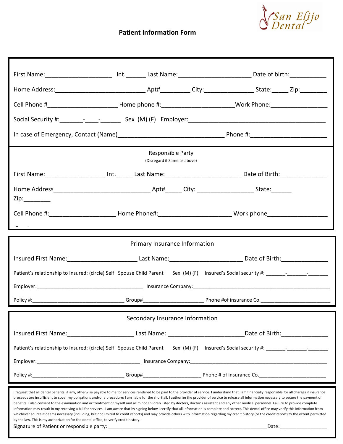

# Patient Information Form

| First Name: __________________________ Int.________ Last Name: ____________________________Date of birth: _____________________________                                                                                                                                                                                                                                                                                                                                                                                                                                                                                                                                                                                                                                                                                                                                                                                                                                                                                                                                                                                                                                 |  |
|-------------------------------------------------------------------------------------------------------------------------------------------------------------------------------------------------------------------------------------------------------------------------------------------------------------------------------------------------------------------------------------------------------------------------------------------------------------------------------------------------------------------------------------------------------------------------------------------------------------------------------------------------------------------------------------------------------------------------------------------------------------------------------------------------------------------------------------------------------------------------------------------------------------------------------------------------------------------------------------------------------------------------------------------------------------------------------------------------------------------------------------------------------------------------|--|
|                                                                                                                                                                                                                                                                                                                                                                                                                                                                                                                                                                                                                                                                                                                                                                                                                                                                                                                                                                                                                                                                                                                                                                         |  |
|                                                                                                                                                                                                                                                                                                                                                                                                                                                                                                                                                                                                                                                                                                                                                                                                                                                                                                                                                                                                                                                                                                                                                                         |  |
|                                                                                                                                                                                                                                                                                                                                                                                                                                                                                                                                                                                                                                                                                                                                                                                                                                                                                                                                                                                                                                                                                                                                                                         |  |
|                                                                                                                                                                                                                                                                                                                                                                                                                                                                                                                                                                                                                                                                                                                                                                                                                                                                                                                                                                                                                                                                                                                                                                         |  |
| Responsible Party<br>(Disregard if Same as above)                                                                                                                                                                                                                                                                                                                                                                                                                                                                                                                                                                                                                                                                                                                                                                                                                                                                                                                                                                                                                                                                                                                       |  |
| First Name: ______________________ Int. ______ Last Name: ________________________________Date of Birth: _____________________________                                                                                                                                                                                                                                                                                                                                                                                                                                                                                                                                                                                                                                                                                                                                                                                                                                                                                                                                                                                                                                  |  |
| $\mathsf{Zip:}\_$                                                                                                                                                                                                                                                                                                                                                                                                                                                                                                                                                                                                                                                                                                                                                                                                                                                                                                                                                                                                                                                                                                                                                       |  |
|                                                                                                                                                                                                                                                                                                                                                                                                                                                                                                                                                                                                                                                                                                                                                                                                                                                                                                                                                                                                                                                                                                                                                                         |  |
| <u> André de la construcción de la construcción de la construcción de la construcción de la construcción de la co</u>                                                                                                                                                                                                                                                                                                                                                                                                                                                                                                                                                                                                                                                                                                                                                                                                                                                                                                                                                                                                                                                   |  |
| Primary Insurance Information                                                                                                                                                                                                                                                                                                                                                                                                                                                                                                                                                                                                                                                                                                                                                                                                                                                                                                                                                                                                                                                                                                                                           |  |
| Insured First Name: _______________________________Last Name: _______________________________Date of Birth: __________________________                                                                                                                                                                                                                                                                                                                                                                                                                                                                                                                                                                                                                                                                                                                                                                                                                                                                                                                                                                                                                                  |  |
|                                                                                                                                                                                                                                                                                                                                                                                                                                                                                                                                                                                                                                                                                                                                                                                                                                                                                                                                                                                                                                                                                                                                                                         |  |
|                                                                                                                                                                                                                                                                                                                                                                                                                                                                                                                                                                                                                                                                                                                                                                                                                                                                                                                                                                                                                                                                                                                                                                         |  |
|                                                                                                                                                                                                                                                                                                                                                                                                                                                                                                                                                                                                                                                                                                                                                                                                                                                                                                                                                                                                                                                                                                                                                                         |  |
| Secondary Insurance Information                                                                                                                                                                                                                                                                                                                                                                                                                                                                                                                                                                                                                                                                                                                                                                                                                                                                                                                                                                                                                                                                                                                                         |  |
| Insured First Name: ______________________________Last Name: _______________________________Date of Birth: ___________________________                                                                                                                                                                                                                                                                                                                                                                                                                                                                                                                                                                                                                                                                                                                                                                                                                                                                                                                                                                                                                                  |  |
|                                                                                                                                                                                                                                                                                                                                                                                                                                                                                                                                                                                                                                                                                                                                                                                                                                                                                                                                                                                                                                                                                                                                                                         |  |
|                                                                                                                                                                                                                                                                                                                                                                                                                                                                                                                                                                                                                                                                                                                                                                                                                                                                                                                                                                                                                                                                                                                                                                         |  |
|                                                                                                                                                                                                                                                                                                                                                                                                                                                                                                                                                                                                                                                                                                                                                                                                                                                                                                                                                                                                                                                                                                                                                                         |  |
| I request that all dental benefits, if any, otherwise payable to me for services rendered to be paid to the provider of service. I understand that I am financially responsible for all charges if insurance<br>proceeds are insufficient to cover my obligations and/or a procedure; I am liable for the shortfall. I authorize the provider of service to release all information necessary to secure the payment of<br>benefits. I also consent to the examination and or treatment of myself and all minor children listed by doctors, doctor's assistant and any other medical personnel. Failure to provide complete<br>information may result in my receiving a bill for services. I am aware that by signing below I certify that all information is complete and correct. This dental office may verify this information from<br>whichever source it deems necessary (including, but not limited to credit reports) and may provide others with information regarding my credit history (or the credit report) to the extent permitted<br>by the law. This is my authorization for the dental office, to verify credit history.<br>_Date:_____________________ |  |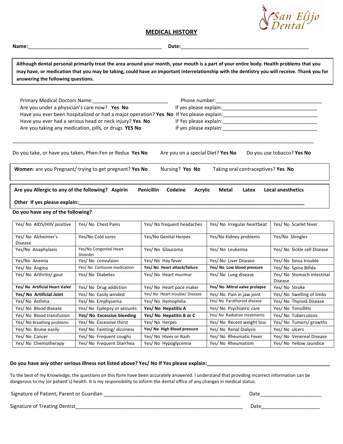## MEDICAL HISTORY

Name:\_\_\_\_\_\_\_\_\_\_\_\_\_\_\_\_\_\_\_\_\_\_\_\_\_\_\_\_\_\_\_\_\_\_\_\_\_\_\_\_\_\_\_\_\_\_\_\_ Date:\_\_\_\_\_\_\_\_\_\_\_\_\_\_\_\_\_\_\_\_\_\_\_\_\_\_\_\_\_\_\_\_\_\_\_\_\_\_\_\_\_\_\_\_\_\_

Although dental personal primarily treat the area around your month, your mouth is a part of your entire body. Health problems that you may have, or medication that you may be taking, could have an important interrelationship with the dentistry you will receive. Thank you for answering the following questions.

| Primary Medical Doctors Name:<br>Are you under a physician's care now? Yes No     | Have you ever had a serious head or neck injury? Yes No<br>Are you taking any medication, pills, or drugs YES No |                                                |                                    |                                       |
|-----------------------------------------------------------------------------------|------------------------------------------------------------------------------------------------------------------|------------------------------------------------|------------------------------------|---------------------------------------|
|                                                                                   | Do you take, or have you taken, Phen-Fen or Redux Yes No                                                         | Are you on a special Diet? Yes No              |                                    | Do you use tobacco? Yes No            |
|                                                                                   | Women: are you Pregnant/ trying to get pregnant? Yes No                                                          | Nursing? Yes No                                | Taking oral contraceptives? Yes No |                                       |
| Are you Allergic to any of the following? Aspirin<br>Other If yes please explain: |                                                                                                                  | <b>Penicillin</b><br>Codeine<br><b>Acrylic</b> | Metal<br>Latex                     | <b>Local anesthetics</b>              |
| Do you have any of the following?                                                 |                                                                                                                  |                                                |                                    |                                       |
| Yes/ No AIDS/HIIV positive                                                        | Yes/ No Chest Pains                                                                                              | Yes/ No frequent headaches                     | Yes/ No Irregular heartbeat        | Yes/ No Scarlet fever                 |
| Yes/ No Alzheimer's<br>Disease                                                    | Yes/No Cold sores                                                                                                | Yes/No Genital Herpes                          | Yes/No Kidney problems             | Yes/No Shingles                       |
| Yes/No Anaphylaxis                                                                | Yes/No Congenital Heart<br>Disorder                                                                              | Yes/ No Glaucoma                               | Yes/ No Leukemia                   | Yes/ No Sickle cell Disease           |
| Yes/No Anemia                                                                     | Yes/ No convulsion                                                                                               | Yes/ No Hay fever                              | Yes/ No Liver Disease              | Yes/ No Sinus trouble                 |
| Yes/ No Angina                                                                    | Yes/ No Cortisone medication                                                                                     | Yes/ No Heart attack/failure                   | Yes/ No Low blood pressure         | Yes/ No Spine Bifida                  |
| Yes/ No Arthritis/ gout                                                           | Yes/ No Diabetes                                                                                                 | Yes/ No Heart murmur                           | Yes/ No Lung disease               | Yes/ No Stomach intestinal<br>Disease |
| Yes/ No Artificial Heart Valve                                                    | Yes/ No Drug addiction                                                                                           | Yes/ No Heart pace maker                       | Yes/ No Mitral valve prolapse      | Yes/ No Stroke                        |
| Yes/ No Artificial Joint                                                          | Yes/ No Easily winded                                                                                            | Yes/ No Heart trouble/ Disease                 | Yes/ No Pain in jaw joint          | Yes/ No Swelling of limbs             |
| Yes/ No Asthma                                                                    | Yes/ No Emphysema                                                                                                | Yes/ No Hemophilia                             | Yes/ No Parathyroid disease        | Yes/ No Thyroid Disease               |
| Yes/ No Blood disease                                                             | Yes/ No Epilepsy or seizures                                                                                     | Yes/ No Hepatitis A                            | Yes/ No Psychiatric care           | Yes/ No Tonsillitis                   |
| Yes/ No Blood transfusion                                                         | Yes/ No Excessive bleeding                                                                                       | Yes/ No Hepatitis B or C                       | Yes/ No Radiation treatments       | Yes/ No Tuberculosis                  |
| Yes/ No Breathing problems                                                        | Yes/ No Excessive thirst                                                                                         | Yes/ No Herpes                                 | Yes/ No Recent weight loss         | Yes/ No Tumors/ growths               |
| Yes/ No Bruise easily                                                             | Yes/ No Fainting/ dizziness                                                                                      | Yes/ No High Blood pressure                    | Yes/ No Renal Dialysis             | Yes/ No ulcers                        |
| Yes/ No Cancer                                                                    | Yes/ No Frequent coughs                                                                                          | Yes/ No Hives or Rash                          | Yes/ No Rheumatic Fever            | Yes/ No Venereal Disease              |

## Do you have any other serious illness not listed above? Yes/ No If Yes please explain:

To the best of my Knowledge, the questions on this form have been accurately answered. I understand that providing incorrect information can be dangerous to my (or patient's) health. It is my responsibility to inform the dental office of any changes in medical status.

Yes/ No Chemotherapy | Yes/ No Frequent Diarrhea | Yes/ No Hypoglycemia | Yes/ No Rheumatism | Yes/ No Yellow Jaundice

Signature of Patient, Parent or Guardian \_\_\_\_\_\_\_\_\_\_\_\_\_\_\_\_\_\_\_\_\_\_\_\_\_\_\_\_\_\_\_\_\_\_\_\_\_\_\_\_\_\_\_\_\_\_\_\_\_ Date\_\_\_\_\_\_\_\_\_\_\_\_\_\_\_\_\_\_\_\_\_\_

Signature of Treating Dentist\_\_\_\_\_\_\_\_\_\_\_\_\_\_\_\_\_\_\_\_\_\_\_\_\_\_\_\_\_\_\_\_\_\_\_\_\_\_\_\_\_\_\_\_\_\_\_\_\_\_\_\_\_\_\_\_\_\_\_\_ Date\_\_\_\_\_\_\_\_\_\_\_\_\_\_\_\_\_\_\_\_\_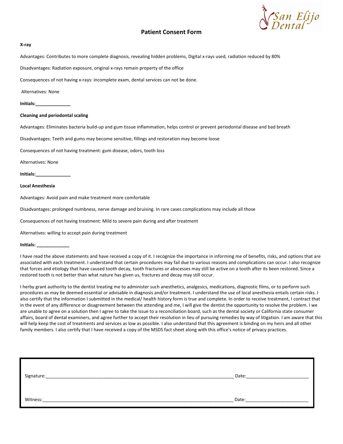

## Patient Consent Form

## X-ray

Advantages: Contributes to more complete diagnosis, revealing hidden problems, Digital x-rays used, radiation reduced by 80%

Disadvantages: Radiation exposure, original x-rays remain property of the office

Consequences of not having x-rays: incomplete exam, dental services can not be done.

Alternatives: None

Initials:\_\_\_\_\_\_\_\_\_\_\_\_\_\_

## Cleaning and periodontal scaling

Advantages: Eliminates bacteria build-up and gum tissue inflammation, helps control or prevent periodontal disease and bad breath

Disadvantages: Teeth and gums may become sensitive, fillings and restoration may become loose

Consequences of not having treatment: gum disease, odors, tooth loss

Alternatives: None

Initials:\_\_\_\_\_\_\_\_\_\_\_\_\_\_

### Local Anesthesia

Advantages: Avoid pain and make treatment more comfortable

Disadvantages: prolonged numbness, nerve damage and bruising. In rare cases complications may include all those

Consequences of not having treatment: Mild to severe pain during and after treatment

Alternatives: willing to accept pain during treatment

Initials: \_\_\_\_\_\_\_\_\_\_\_\_\_

I have read the above statements and have received a copy of it. I recognize the importance in informing me of benefits, risks, and options that are associated with each treatment. I understand that certain procedures may fail due to various reasons and complications can occur. I also recognize that forces and etiology that have caused tooth decay, tooth fractures or abscesses may still be active on a tooth after its been restored. Since a restored tooth is not better than what nature has given us, fractures and decay may still occur.

I herby grant authority to the dentist treating me to administer such anesthetics, analgesics, medications, diagnostic films, or to perform such procedures as may be deemed essential or advisable in diagnosis and/or treatment. I understand the use of local anesthesia entails certain risks. I also certify that the information I submitted in the medical/ health history form is true and complete. In order to receive treatment, I contract that in the event of any difference or disagreement between the attending and me, I will give the dentist the opportunity to resolve the problem. I we are unable to agree on a solution then I agree to take the issue to a reconciliation board, such as the dental society or California state consumer affairs, board of dental examiners, and agree further to accept their resolution in lieu of pursuing remedies by way of litigation. I am aware that this will help keep the cost of treatments and services as low as possible. I also understand that this agreement is binding on my heirs and all other family members. I also certify that I have received a copy of the MSDS fact sheet along with this office's notice of privacy practices.

| Signature: | Date: |
|------------|-------|
|            |       |
| Witness:   | Date: |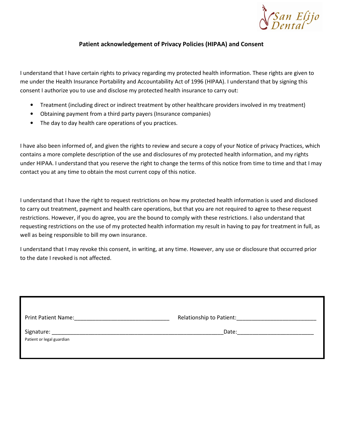

# Patient acknowledgement of Privacy Policies (HIPAA) and Consent

I understand that I have certain rights to privacy regarding my protected health information. These rights are given to me under the Health Insurance Portability and Accountability Act of 1996 (HIPAA). I understand that by signing this consent I authorize you to use and disclose my protected health insurance to carry out:

- Treatment (including direct or indirect treatment by other healthcare providers involved in my treatment)
- Obtaining payment from a third party payers (Insurance companies)
- The day to day health care operations of you practices.

I have also been informed of, and given the rights to review and secure a copy of your Notice of privacy Practices, which contains a more complete description of the use and disclosures of my protected health information, and my rights under HIPAA. I understand that you reserve the right to change the terms of this notice from time to time and that I may contact you at any time to obtain the most current copy of this notice.

I understand that I have the right to request restrictions on how my protected health information is used and disclosed to carry out treatment, payment and health care operations, but that you are not required to agree to these request restrictions. However, if you do agree, you are the bound to comply with these restrictions. I also understand that requesting restrictions on the use of my protected health information my result in having to pay for treatment in full, as well as being responsible to bill my own insurance.

I understand that I may revoke this consent, in writing, at any time. However, any use or disclosure that occurred prior to the date I revoked is not affected.

| Print Patient Name: Mannell Allen Mannell Mannell Allen Mannell Mannell Mannell Mannell Mannell Mannell Manne |       |
|---------------------------------------------------------------------------------------------------------------|-------|
| Patient or legal guardian                                                                                     | Date: |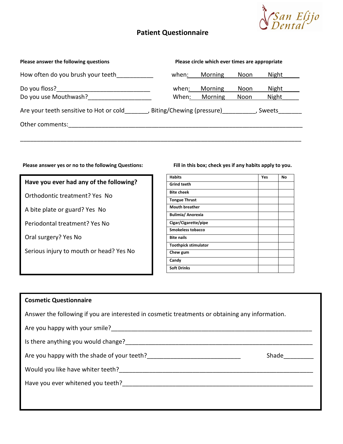

# Patient Questionnaire

| Please answer the following questions   | Please circle which ever times are appropriate |         |        |       |  |
|-----------------------------------------|------------------------------------------------|---------|--------|-------|--|
| How often do you brush your teeth       | when:                                          | Morning | Noon   | Night |  |
| Do you floss?                           | when:                                          | Morning | Noon   | Night |  |
| Do you use Mouthwash?                   | When:                                          | Morning | Noon   | Night |  |
| Are your teeth sensitive to Hot or cold | Biting/Chewing (pressure)                      |         | Sweets |       |  |
| Other comments:                         |                                                |         |        |       |  |
|                                         |                                                |         |        |       |  |

## Please answer yes or no to the following Questions: Fill in this box; check yes if any habits apply to you.

## Have you ever had any of the following?

Orthodontic treatment? Yes No

A bite plate or guard? Yes No

Periodontal treatment? Yes No

Oral surgery? Yes No

Serious injury to mouth or head? Yes No

| <b>Habits</b>               | Yes | No |
|-----------------------------|-----|----|
| <b>Grind teeth</b>          |     |    |
| <b>Bite cheek</b>           |     |    |
| <b>Tongue Thrust</b>        |     |    |
| <b>Mouth breather</b>       |     |    |
| <b>Bulimia/ Anorexia</b>    |     |    |
| Cigar/Cigarette/pipe        |     |    |
| <b>Smokeless tobacco</b>    |     |    |
| <b>Bite nails</b>           |     |    |
| <b>Toothpick stimulator</b> |     |    |
| Chew gum                    |     |    |
| Candy                       |     |    |
| <b>Soft Drinks</b>          |     |    |

## Cosmetic Questionnaire

Answer the following if you are interested in cosmetic treatments or obtaining any information.

Are you happy with your smile?\_\_\_\_\_\_\_\_\_\_\_\_\_\_\_\_\_\_\_\_\_\_\_\_\_\_\_\_\_\_\_\_\_\_\_\_\_\_\_\_\_\_\_\_\_\_\_\_\_\_\_\_\_\_\_\_\_\_\_\_

Is there anything you would change?

Are you happy with the shade of your teeth?\_\_\_\_\_\_\_\_\_\_\_\_\_\_\_\_\_\_\_\_\_\_\_\_\_\_\_\_ Shade\_\_\_\_\_\_\_\_\_

Would you like have whiter teeth?\_\_\_\_\_\_\_\_\_\_\_\_\_\_\_\_\_\_\_\_\_\_\_\_\_\_\_\_\_\_\_\_\_\_\_\_\_\_\_\_\_\_\_\_\_\_\_\_\_\_\_\_\_\_\_\_\_\_

Have you ever whitened you teeth?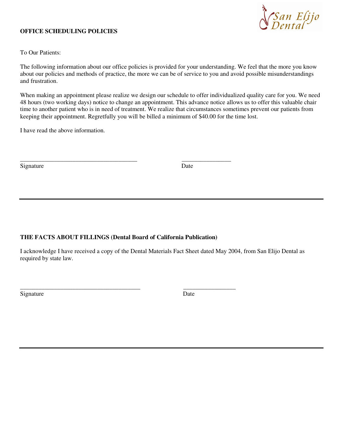## **OFFICE SCHEDULING POLICIES**



To Our Patients:

The following information about our office policies is provided for your understanding. We feel that the more you know about our policies and methods of practice, the more we can be of service to you and avoid possible misunderstandings and frustration.

When making an appointment please realize we design our schedule to offer individualized quality care for you. We need 48 hours (two working days) notice to change an appointment. This advance notice allows us to offer this valuable chair time to another patient who is in need of treatment. We realize that circumstances sometimes prevent our patients from keeping their appointment. Regretfully you will be billed a minimum of \$40.00 for the time lost.

I have read the above information.

| Signature | Date |
|-----------|------|
|-----------|------|

## **THE FACTS ABOUT FILLINGS (Dental Board of California Publication)**

\_\_\_\_\_\_\_\_\_\_\_\_\_\_\_\_\_\_\_\_\_\_\_\_\_\_\_\_\_\_\_\_\_\_\_\_\_\_\_ \_\_\_\_\_\_\_\_\_\_\_\_\_\_\_\_\_

\_\_\_\_\_\_\_\_\_\_\_\_\_\_\_\_\_\_\_\_\_\_\_\_\_\_\_\_\_\_\_\_\_\_\_\_\_\_ \_\_\_\_\_\_\_\_\_\_\_\_\_\_\_\_

I acknowledge I have received a copy of the Dental Materials Fact Sheet dated May 2004, from San Elijo Dental as required by state law.

Signature Date